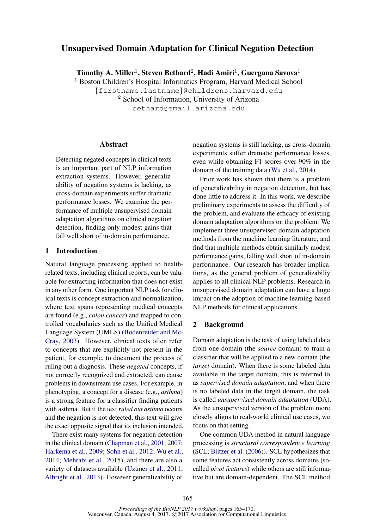# Unsupervised Domain Adaptation for Clinical Negation Detection

Timothy A. Miller $^1$ , Steven Bethard $^2$ , Hadi Amiri $^1$ , Guergana Savova $^1$ 

<sup>1</sup> Boston Children's Hospital Informatics Program, Harvard Medical School {firstname.lastname}@childrens.harvard.edu <sup>2</sup> School of Information, University of Arizona bethard@email.arizona.edu

#### Abstract

Detecting negated concepts in clinical texts is an important part of NLP information extraction systems. However, generalizability of negation systems is lacking, as cross-domain experiments suffer dramatic performance losses. We examine the performance of multiple unsupervised domain adaptation algorithms on clinical negation detection, finding only modest gains that fall well short of in-domain performance.

### 1 Introduction

Natural language processing applied to healthrelated texts, including clinical reports, can be valuable for extracting information that does not exist in any other form. One important NLP task for clinical texts is concept extraction and normalization, where text spans representing medical concepts are found (e.g., *colon cancer*) and mapped to controlled vocabularies such as the Unified Medical Language System (UMLS) (Bodenreider and Mc-Cray, 2003). However, clinical texts often refer to concepts that are explicitly not present in the patient, for example, to document the process of ruling out a diagnosis. These *negated* concepts, if not correctly recognized and extracted, can cause problems in downstream use cases. For example, in phenotyping, a concept for a disease (e.g., *asthma*) is a strong feature for a classifier finding patients with asthma. But if the text *ruled out asthma* occurs and the negation is not detected, this text will give the exact opposite signal that its inclusion intended.

There exist many systems for negation detection in the clinical domain (Chapman et al., 2001, 2007; Harkema et al., 2009; Sohn et al., 2012; Wu et al., 2014; Mehrabi et al., 2015), and there are also a variety of datasets available (Uzuner et al., 2011; Albright et al., 2013). However generalizability of negation systems is still lacking, as cross-domain experiments suffer dramatic performance losses, even while obtaining F1 scores over 90% in the domain of the training data (Wu et al., 2014).

Prior work has shown that there is a problem of generalizability in negation detection, but has done little to address it. In this work, we describe preliminary experiments to assess the difficulty of the problem, and evaluate the efficacy of existing domain adaptation algorithms on the problem. We implement three unsupervised domain adaptation methods from the machine learning literature, and find that multiple methods obtain similarly modest performance gains, falling well short of in-domain performance. Our research has broader implications, as the general problem of generalizabiliy applies to all clinical NLP problems. Research in unsupervised domain adaptation can have a huge impact on the adoption of machine learning-based NLP methods for clinical applications.

#### 2 Background

Domain adaptation is the task of using labeled data from one domain (the *source* domain) to train a classifier that will be applied to a new domain (the *target* domain). When there is some labeled data available in the target domain, this is referred to as *supervised domain adaptation*, and when there is no labeled data in the target domain, the task is called *unsupervised domain adaptation* (UDA). As the unsupervised version of the problem more closely aligns to real-world clinical use cases, we focus on that setting.

One common UDA method in natural language processing is *structural correspondence learning* (SCL; Blitzer et al. (2006)). SCL hypothesizes that some features act consistently across domains (socalled *pivot features*) while others are still informative but are domain-dependent. The SCL method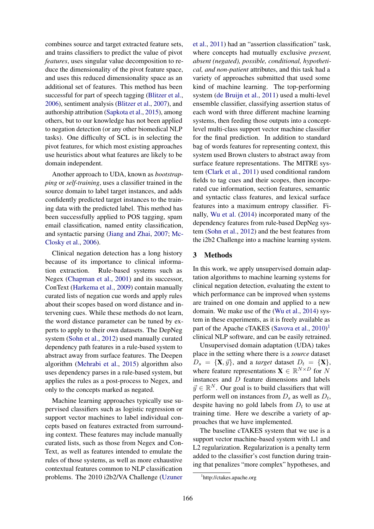combines source and target extracted feature sets, and trains classifiers to predict the value of pivot *features*, uses singular value decomposition to reduce the dimensionality of the pivot feature space, and uses this reduced dimensionality space as an additional set of features. This method has been successful for part of speech tagging (Blitzer et al., 2006), sentiment analysis (Blitzer et al., 2007), and authorship attribution (Sapkota et al., 2015), among others, but to our knowledge has not been applied to negation detection (or any other biomedical NLP tasks). One difficulty of SCL is in selecting the pivot features, for which most existing approaches use heuristics about what features are likely to be domain independent.

Another approach to UDA, known as *bootstrapping* or *self-training*, uses a classifier trained in the source domain to label target instances, and adds confidently predicted target instances to the training data with the predicted label. This method has been successfully applied to POS tagging, spam email classification, named entity classification, and syntactic parsing (Jiang and Zhai, 2007; Mc-Closky et al., 2006).

Clinical negation detection has a long history because of its importance to clinical information extraction. Rule-based systems such as Negex (Chapman et al., 2001) and its successor, ConText (Harkema et al., 2009) contain manually curated lists of negation cue words and apply rules about their scopes based on word distance and intervening cues. While these methods do not learn, the word distance parameter can be tuned by experts to apply to their own datasets. The DepNeg system (Sohn et al., 2012) used manually curated dependency path features in a rule-based system to abstract away from surface features. The Deepen algorithm (Mehrabi et al., 2015) algorithm also uses dependency parses in a rule-based system, but applies the rules as a post-process to Negex, and only to the concepts marked as negated.

Machine learning approaches typically use supervised classifiers such as logistic regression or support vector machines to label individual concepts based on features extracted from surrounding context. These features may include manually curated lists, such as those from Negex and Con-Text, as well as features intended to emulate the rules of those systems, as well as more exhaustive contextual features common to NLP classification problems. The 2010 i2b2/VA Challenge (Uzuner et al., 2011) had an "assertion classification" task, where concepts had mutually exclusive *present, absent (negated), possible, conditional, hypothetical, and non-patient* attributes, and this task had a variety of approaches submitted that used some kind of machine learning. The top-performing system (de Bruijn et al., 2011) used a multi-level ensemble classifier, classifying assertion status of each word with three different machine learning systems, then feeding those outputs into a conceptlevel multi-class support vector machine classifier for the final prediction. In addition to standard bag of words features for representing context, this system used Brown clusters to abstract away from surface feature representations. The MITRE system (Clark et al., 2011) used conditional random fields to tag cues and their scopes, then incorporated cue information, section features, semantic and syntactic class features, and lexical surface features into a maximum entropy classifier. Finally, Wu et al. (2014) incorporated many of the dependency features from rule-based DepNeg system (Sohn et al., 2012) and the best features from the i2b2 Challenge into a machine learning system.

#### 3 Methods

In this work, we apply unsupervised domain adaptation algorithms to machine learning systems for clinical negation detection, evaluating the extent to which performance can be improved when systems are trained on one domain and applied to a new domain. We make use of the (Wu et al., 2014) system in these experiments, as it is freely available as part of the Apache cTAKES (Savova et al., 2010)<sup>1</sup> clinical NLP software, and can be easily retrained.

Unsupervised domain adaptation (UDA) takes place in the setting where there is a *source* dataset  $D_s = {\mathbf{X}, \vec{y}}$ , and a *target* dataset  $D_t = {\mathbf{X}}$ , where feature representations  $\mathbf{X} \in \mathbb{R}^{N \times D}$  for N instances and D feature dimensions and labels  $\vec{y} \in \mathbb{R}^{N}$ . Our goal is to build classifiers that will perform well on instances from  $D_s$  as well as  $D_t$ , despite having no gold labels from  $D_t$  to use at training time. Here we describe a variety of approaches that we have implemented.

The baseline cTAKES system that we use is a support vector machine-based system with L1 and L2 regularization. Regularization is a penalty term added to the classifier's cost function during training that penalizes "more complex" hypotheses, and

<sup>1</sup> http://ctakes.apache.org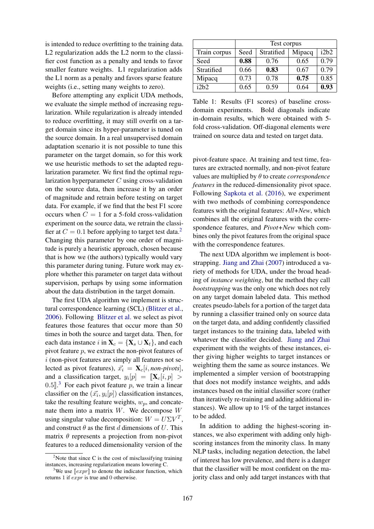is intended to reduce overfitting to the training data. L<sub>2</sub> regularization adds the L<sub>2</sub> norm to the classifier cost function as a penalty and tends to favor smaller feature weights. L1 regularization adds the L1 norm as a penalty and favors sparse feature weights (i.e., setting many weights to zero).

Before attempting any explicit UDA methods, we evaluate the simple method of increasing regularization. While regularization is already intended to reduce overfitting, it may still overfit on a target domain since its hyper-parameter is tuned on the source domain. In a real unsupervised domain adaptation scenario it is not possible to tune this parameter on the target domain, so for this work we use heuristic methods to set the adapted regularization parameter. We first find the optimal regularization hyperparameter  $C$  using cross-validation on the source data, then increase it by an order of magnitude and retrain before testing on target data. For example, if we find that the best F1 score occurs when  $C = 1$  for a 5-fold cross-validation experiment on the source data, we retrain the classifier at  $C = 0.1$  before applying to target test data.<sup>2</sup> Changing this parameter by one order of magnitude is purely a heuristic approach, chosen because that is how we (the authors) typically would vary this parameter during tuning. Future work may explore whether this parameter on target data without supervision, perhaps by using some information about the data distribution in the target domain.

The first UDA algorithm we implement is structural correspondence learning (SCL) (Blitzer et al., 2006). Following Blitzer et al. we select as pivot features those features that occur more than 50 times in both the source and target data. Then, for each data instance i in  $X_c = \{X_s \cup X_t\}$ , and each pivot feature p, we extract the non-pivot features of  $i$  (non-pivot features are simply all features not selected as pivot features),  $\vec{x_i} = \mathbf{X}_c[i, non-pivots]$ , and a classification target,  $y_i[p] = [\mathbf{X}_c[i, p] >$ 0.5. <sup>3</sup> For each pivot feature p, we train a linear classifier on the  $(\vec{x_i}, y_i[p])$  classification instances, take the resulting feature weights,  $w_p$ , and concatenate them into a matrix  $W$ . We decompose  $W$ using singular value decomposition:  $W = U\Sigma V^T$ , and construct  $\theta$  as the first d dimensions of U. This matrix  $\theta$  represents a projection from non-pivot features to a reduced dimensionality version of the

|              | Test corpus |            |        |      |  |  |  |  |  |
|--------------|-------------|------------|--------|------|--|--|--|--|--|
| Train corpus | Seed        | Stratified | Mipacq | i2b2 |  |  |  |  |  |
| Seed         | 0.88        | 0.76       | 0.65   | 0.79 |  |  |  |  |  |
| Stratified   | 0.66        | 0.83       | 0.67   | 0.79 |  |  |  |  |  |
| Mipacq       | 0.73        | 0.78       | 0.75   | 0.85 |  |  |  |  |  |
| i2h2         | 0.65        | 0.59       | 0.64   | 0.93 |  |  |  |  |  |

Table 1: Results (F1 scores) of baseline crossdomain experiments. Bold diagonals indicate in-domain results, which were obtained with 5 fold cross-validation. Off-diagonal elements were trained on source data and tested on target data.

pivot-feature space. At training and test time, features are extracted normally, and non-pivot feature values are multiplied by θ to create *correspondence features* in the reduced-dimensionality pivot space. Following Sapkota et al. (2016), we experiment with two methods of combining correspondence features with the original features: *All+New*, which combines all the original features with the correspondence features, and *Pivot+New* which combines only the pivot features from the original space with the correspondence features.

The next UDA algorithm we implement is bootstrapping. Jiang and Zhai (2007) introduced a variety of methods for UDA, under the broad heading of *instance weighting*, but the method they call *bootstrapping* was the only one which does not rely on any target domain labeled data. This method creates pseudo-labels for a portion of the target data by running a classifier trained only on source data on the target data, and adding confidently classified target instances to the training data, labeled with whatever the classifier decided. Jiang and Zhai experiment with the weights of these instances, either giving higher weights to target instances or weighting them the same as source instances. We implemented a simpler version of bootstrapping that does not modify instance weights, and adds instances based on the initial classifier score (rather than iteratively re-training and adding additional instances). We allow up to 1% of the target instances to be added.

In addition to adding the highest-scoring instances, we also experiment with adding only highscoring instances from the minority class. In many NLP tasks, including negation detection, the label of interest has low prevalence, and there is a danger that the classifier will be most confident on the majority class and only add target instances with that

 $2$ Note that since C is the cost of misclassifying training instances, increasing regularization means lowering C.

<sup>&</sup>lt;sup>3</sup>We use  $\llbracket expr \rrbracket$  to denote the indicator function, which returns 1 if expr is true and 0 otherwise.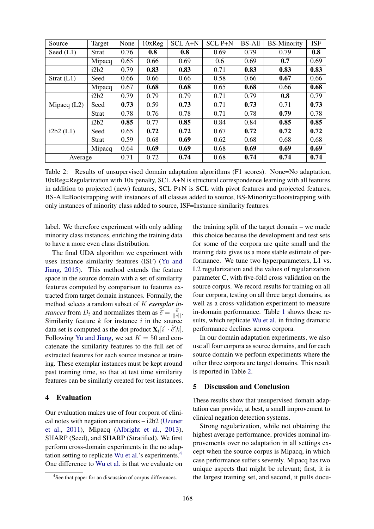| Source        | Target       | None | 10xReg | <b>SCL A+N</b> | <b>SCL P+N</b> | <b>BS-All</b> | <b>BS-Minority</b> | <b>ISF</b> |
|---------------|--------------|------|--------|----------------|----------------|---------------|--------------------|------------|
| Seed $(L1)$   | Strat        | 0.76 | 0.8    | 0.8            | 0.69           | 0.79          | 0.79               | 0.8        |
|               | Mipacq       | 0.65 | 0.66   | 0.69           | 0.6            | 0.69          | 0.7                | 0.69       |
|               | i2b2         | 0.79 | 0.83   | 0.83           | 0.71           | 0.83          | 0.83               | 0.83       |
| Strat $(L1)$  | Seed         | 0.66 | 0.66   | 0.66           | 0.58           | 0.66          | 0.67               | 0.66       |
|               | Mipacq       | 0.67 | 0.68   | 0.68           | 0.65           | 0.68          | 0.66               | 0.68       |
|               | i2b2         | 0.79 | 0.79   | 0.79           | 0.71           | 0.79          | 0.8                | 0.79       |
| Mipacq $(L2)$ | Seed         | 0.73 | 0.59   | 0.73           | 0.71           | 0.73          | 0.71               | 0.73       |
|               | <b>Strat</b> | 0.78 | 0.76   | 0.78           | 0.71           | 0.78          | 0.79               | 0.78       |
|               | i2b2         | 0.85 | 0.77   | 0.85           | 0.84           | 0.84          | 0.85               | 0.85       |
| i2b2(L1)      | Seed         | 0.65 | 0.72   | 0.72           | 0.67           | 0.72          | 0.72               | 0.72       |
|               | <b>Strat</b> | 0.59 | 0.68   | 0.69           | 0.62           | 0.68          | 0.68               | 0.68       |
|               | Mipacq       | 0.64 | 0.69   | 0.69           | 0.68           | 0.69          | 0.69               | 0.69       |
| Average       |              | 0.71 | 0.72   | 0.74           | 0.68           | 0.74          | 0.74               | 0.74       |

Table 2: Results of unsupervised domain adaptation algorithms (F1 scores). None=No adaptation, 10xReg=Regularization with 10x penalty, SCL A+N is structural correspondence learning with all features in addition to projected (new) features, SCL P+N is SCL with pivot features and projected features, BS-All=Bootstrapping with instances of all classes added to source, BS-Minority=Bootstrapping with only instances of minority class added to source, ISF=Instance similarity features.

label. We therefore experiment with only adding minority class instances, enriching the training data to have a more even class distribution.

The final UDA algorithm we experiment with uses instance similarity features (ISF) (Yu and Jiang, 2015). This method extends the feature space in the source domain with a set of similarity features computed by comparison to features extracted from target domain instances. Formally, the method selects a random subset of K *exemplar instances* from  $D_t$  and normalizes them as  $\hat{\vec{e}} = \frac{\vec{e}}{||\vec{e}||}$ . Similarity feature  $k$  for instance  $i$  in the source data set is computed as the dot product  $\mathbf{X}_t[i] \cdot \hat{e}[k]$ . Following Yu and Jiang, we set  $K = 50$  and concatenate the similarity features to the full set of extracted features for each source instance at training. These exemplar instances must be kept around past training time, so that at test time similarity features can be similarly created for test instances.

### 4 Evaluation

Our evaluation makes use of four corpora of clinical notes with negation annotations  $-$  i2b2 (Uzuner et al., 2011), Mipacq (Albright et al., 2013), SHARP (Seed), and SHARP (Stratified). We first perform cross-domain experiments in the no adaptation setting to replicate Wu et al.'s experiments.<sup>4</sup> One difference to Wu et al. is that we evaluate on

the training split of the target domain – we made this choice because the development and test sets for some of the corpora are quite small and the training data gives us a more stable estimate of performance. We tune two hyperparameters, L1 vs. L2 regularization and the values of regularization parameter C, with five-fold cross validation on the source corpus. We record results for training on all four corpora, testing on all three target domains, as well as a cross-validation experiment to measure in-domain performance. Table 1 shows these results, which replicate Wu et al. in finding dramatic performance declines across corpora.

In our domain adaptation experiments, we also use all four corpora as source domains, and for each source domain we perform experiments where the other three corpora are target domains. This result is reported in Table 2.

## 5 Discussion and Conclusion

These results show that unsupervised domain adaptation can provide, at best, a small improvement to clinical negation detection systems.

Strong regularization, while not obtaining the highest average performance, provides nominal improvements over no adaptation in all settings except when the source corpus is Mipacq, in which case performance suffers severely. Mipacq has two unique aspects that might be relevant; first, it is the largest training set, and second, it pulls docu-

<sup>4</sup> See that paper for an discussion of corpus differences.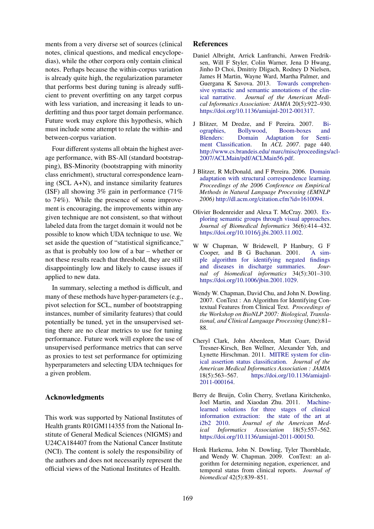ments from a very diverse set of sources (clinical notes, clinical questions, and medical encyclopedias), while the other corpora only contain clinical notes. Perhaps because the within-corpus variation is already quite high, the regularization parameter that performs best during tuning is already sufficient to prevent overfitting on any target corpus with less variation, and increasing it leads to underfitting and thus poor target domain performance. Future work may explore this hypothesis, which must include some attempt to relate the within- and between-corpus variation.

Four different systems all obtain the highest average performance, with BS-All (standard bootstrapping), BS-Minority (bootstrapping with minority class enrichment), structural correspondence learning (SCL A+N), and instance similarity features (ISF) all showing 3% gain in performance (71% to 74%). While the presence of some improvement is encouraging, the improvements within any given technique are not consistent, so that without labeled data from the target domain it would not be possible to know which UDA technique to use. We set aside the question of "statistical significance," as that is probably too low of a bar – whether or not these results reach that threshold, they are still disappointingly low and likely to cause issues if applied to new data.

In summary, selecting a method is difficult, and many of these methods have hyper-parameters (e.g., pivot selection for SCL, number of bootstrapping instances, number of similarity features) that could potentially be tuned, yet in the unsupervised setting there are no clear metrics to use for tuning performance. Future work will explore the use of unsupervised performance metrics that can serve as proxies to test set performance for optimizing hyperparameters and selecting UDA techniques for a given problem.

### Acknowledgments

This work was supported by National Institutes of Health grants R01GM114355 from the National Institute of General Medical Sciences (NIGMS) and U24CA184407 from the National Cancer Institute (NCI). The content is solely the responsibility of the authors and does not necessarily represent the official views of the National Institutes of Health.

#### References

- Daniel Albright, Arrick Lanfranchi, Anwen Fredriksen, Will F Styler, Colin Warner, Jena D Hwang, Jinho D Choi, Dmitriy Dligach, Rodney D Nielsen, James H Martin, Wayne Ward, Martha Palmer, and Guergana K Savova. 2013. Towards comprehensive syntactic and semantic annotations of the clinical narrative. *Journal of the American Medical Informatics Association: JAMIA* 20(5):922–930. https://doi.org/10.1136/amiajnl-2012-001317.
- J Blitzer, M Dredze, and F Pereira. 2007. Biographies, Bollywood, Boom-boxes and Blenders: Domain Adaptation for Sentiment Classification. In *ACL 2007*. page 440. http://www.cs.brandeis.edu/ marc/misc/proceedings/acl-2007/ACLMain/pdf/ACLMain56.pdf.
- J Blitzer, R McDonald, and F Pereira. 2006. Domain adaptation with structural correspondence learning. *Proceedings of the 2006 Conference on Empirical Methods in Natural Language Processing (EMNLP 2006)* http://dl.acm.org/citation.cfm?id=1610094.
- Olivier Bodenreider and Alexa T. McCray. 2003. Exploring semantic groups through visual approaches. *Journal of Biomedical Informatics* 36(6):414–432. https://doi.org/10.1016/j.jbi.2003.11.002.
- W W Chapman, W Bridewell, P Hanbury, G F Cooper, and B G Buchanan. 2001. A simple algorithm for identifying negated findings and diseases in discharge summaries. *Journal of biomedical informatics* 34(5):301–310. https://doi.org/10.1006/jbin.2001.1029.
- Wendy W. Chapman, David Chu, and John N. Dowling. 2007. ConText : An Algorithm for Identifying Contextual Features from Clinical Text. *Proceedings of the Workshop on BioNLP 2007: Biological, Translational, and Clinical Language Processing* (June):81– 88.
- Cheryl Clark, John Aberdeen, Matt Coarr, David Tresner-Kirsch, Ben Wellner, Alexander Yeh, and Lynette Hirschman. 2011. MITRE system for clinical assertion status classification. *Journal of the American Medical Informatics Association : JAMIA* 18(5):563–567. https://doi.org/10.1136/amiajnl-2011-000164.
- Berry de Bruijn, Colin Cherry, Svetlana Kiritchenko, Joel Martin, and Xiaodan Zhu. 2011. Machinelearned solutions for three stages of clinical information extraction: the state of the art at i2b2 2010. *Journal of the American Medical Informatics Association* 18(5):557–562. https://doi.org/10.1136/amiajnl-2011-000150.
- Henk Harkema, John N. Dowling, Tyler Thornblade, and Wendy W. Chapman. 2009. ConText: an algorithm for determining negation, experiencer, and temporal status from clinical reports. *Journal of biomedical* 42(5):839–851.